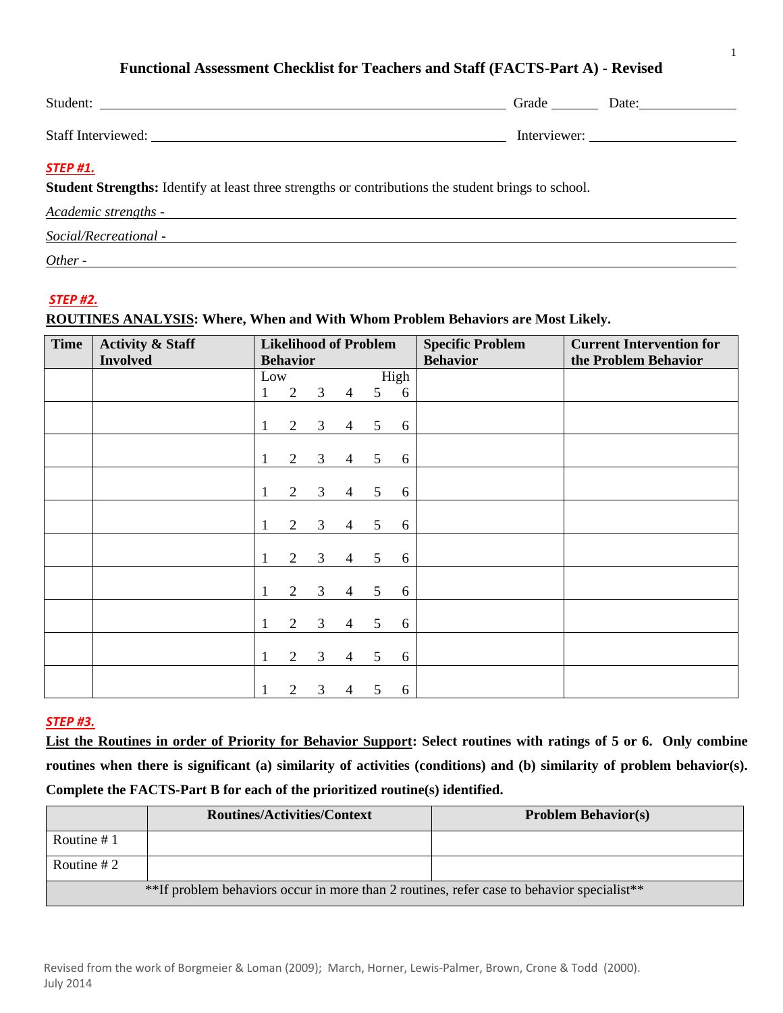## **Functional Assessment Checklist for Teachers and Staff (FACTS-Part A) - Revised**

|                                                                                                                               |  | Grade Date:  |  |  |  |  |
|-------------------------------------------------------------------------------------------------------------------------------|--|--------------|--|--|--|--|
|                                                                                                                               |  | Interviewer: |  |  |  |  |
| <b>STEP #1.</b><br><b>Student Strengths:</b> Identify at least three strengths or contributions the student brings to school. |  |              |  |  |  |  |
| Academic strengths -                                                                                                          |  |              |  |  |  |  |
| Social/Recreational -                                                                                                         |  |              |  |  |  |  |
| Other -                                                                                                                       |  |              |  |  |  |  |

### *STEP #2.*

### **ROUTINES ANALYSIS: Where, When and With Whom Problem Behaviors are Most Likely.**

| <b>Time</b> | <b>Activity &amp; Staff</b><br><b>Involved</b> | <b>Likelihood of Problem</b><br><b>Behavior</b> |                |                |                |                 |      | <b>Specific Problem</b><br><b>Behavior</b> | <b>Current Intervention for</b><br>the Problem Behavior |
|-------------|------------------------------------------------|-------------------------------------------------|----------------|----------------|----------------|-----------------|------|--------------------------------------------|---------------------------------------------------------|
|             |                                                | Low                                             |                |                |                |                 | High |                                            |                                                         |
|             |                                                | 1                                               | 2              | $\mathfrak{Z}$ | $\overline{4}$ | 5 <sup>5</sup>  | 6    |                                            |                                                         |
|             |                                                |                                                 |                |                |                |                 |      |                                            |                                                         |
|             |                                                |                                                 | $\overline{2}$ | $\mathfrak{Z}$ | $\overline{4}$ | 5 <sup>5</sup>  | 6    |                                            |                                                         |
|             |                                                |                                                 |                |                |                |                 |      |                                            |                                                         |
|             |                                                |                                                 | $\overline{2}$ | $\mathfrak{Z}$ | $\overline{4}$ | 5               | 6    |                                            |                                                         |
|             |                                                |                                                 |                |                |                |                 |      |                                            |                                                         |
|             |                                                |                                                 | 2              | 3              | $\overline{4}$ | $5\overline{)}$ | 6    |                                            |                                                         |
|             |                                                |                                                 |                |                |                |                 |      |                                            |                                                         |
|             |                                                |                                                 | $\overline{2}$ | 3 <sup>7</sup> | $\overline{4}$ | 5 <sup>5</sup>  | 6    |                                            |                                                         |
|             |                                                |                                                 |                |                |                |                 |      |                                            |                                                         |
|             |                                                |                                                 | $\overline{2}$ | 3              | $\overline{4}$ | 5               | 6    |                                            |                                                         |
|             |                                                |                                                 |                |                |                |                 |      |                                            |                                                         |
|             |                                                |                                                 | 2              | 3              | 4              | 5               | 6    |                                            |                                                         |
|             |                                                |                                                 |                |                |                |                 |      |                                            |                                                         |
|             |                                                |                                                 | $\overline{2}$ | 3              | $\overline{4}$ | $5\overline{)}$ | 6    |                                            |                                                         |
|             |                                                |                                                 |                |                |                |                 |      |                                            |                                                         |
|             |                                                | 1                                               | $\overline{2}$ | $\mathfrak{Z}$ | $\overline{4}$ | 5 <sup>5</sup>  | 6    |                                            |                                                         |
|             |                                                |                                                 |                |                |                |                 |      |                                            |                                                         |
|             |                                                |                                                 | $\overline{2}$ | 3              | $\overline{4}$ | 5               | 6    |                                            |                                                         |

### *STEP #3.*

**List the Routines in order of Priority for Behavior Support: Select routines with ratings of 5 or 6. Only combine routines when there is significant (a) similarity of activities (conditions) and (b) similarity of problem behavior(s). Complete the FACTS-Part B for each of the prioritized routine(s) identified.** 

|                                                                                           | <b>Routines/Activities/Context</b> | <b>Problem Behavior(s)</b> |  |  |  |
|-------------------------------------------------------------------------------------------|------------------------------------|----------------------------|--|--|--|
| Routine #1                                                                                |                                    |                            |  |  |  |
| Routine $#2$                                                                              |                                    |                            |  |  |  |
| **If problem behaviors occur in more than 2 routines, refer case to behavior specialist** |                                    |                            |  |  |  |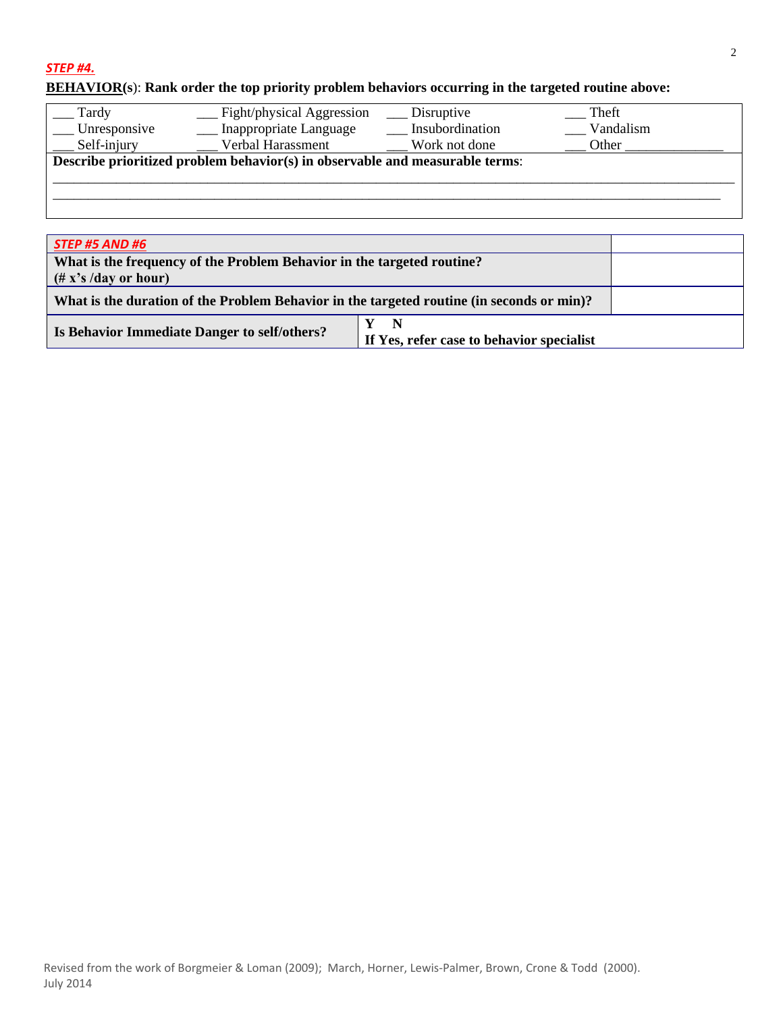## *STEP #4.*

# **BEHAVIOR(s**): **Rank order the top priority problem behaviors occurring in the targeted routine above:**

| Tardy<br>$\_$ Unresponsive<br>Self-injury                                    | $\_$ Fight/physical Aggression<br>Inappropriate Language<br>Verbal Harassment | Disruptive<br>Insubordination<br>Work not done | Theft<br>Vandalism<br>Other |  |  |  |
|------------------------------------------------------------------------------|-------------------------------------------------------------------------------|------------------------------------------------|-----------------------------|--|--|--|
| Describe prioritized problem behavior(s) in observable and measurable terms: |                                                                               |                                                |                             |  |  |  |
|                                                                              |                                                                               |                                                |                             |  |  |  |
|                                                                              |                                                                               |                                                |                             |  |  |  |

| <b>STEP #5 AND #6</b>                                                                     |  |
|-------------------------------------------------------------------------------------------|--|
| What is the frequency of the Problem Behavior in the targeted routine?                    |  |
| $(\# x's / day or hour)$                                                                  |  |
| What is the duration of the Problem Behavior in the targeted routine (in seconds or min)? |  |
| Is Behavior Immediate Danger to self/others?                                              |  |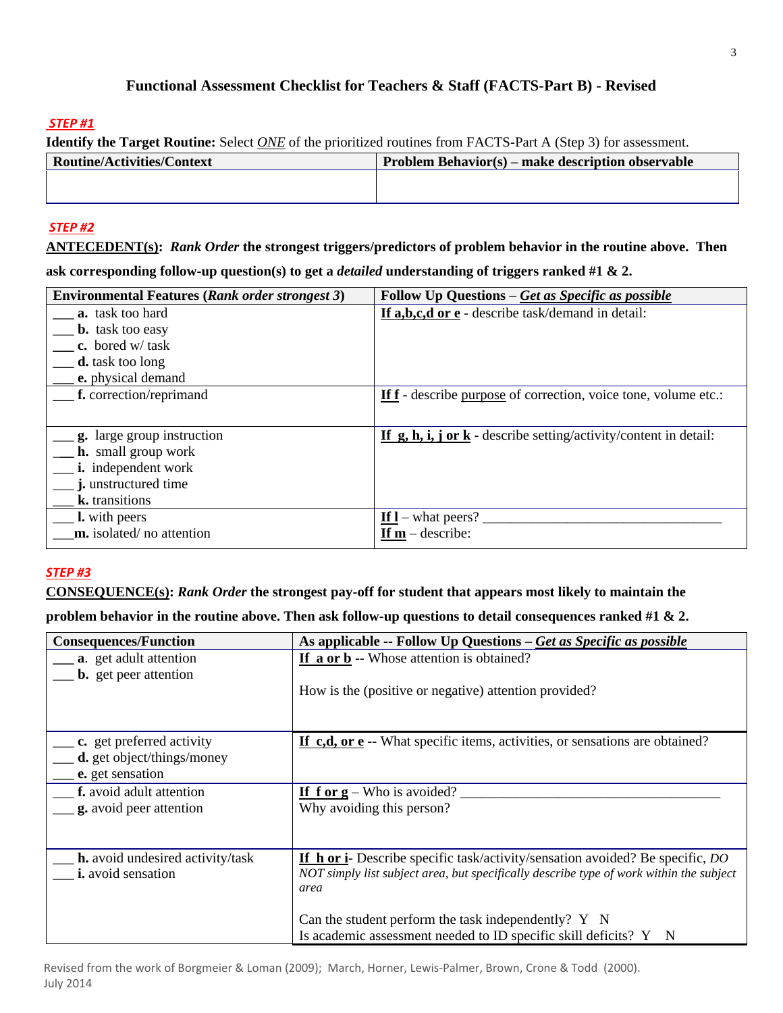# **Functional Assessment Checklist for Teachers & Staff (FACTS-Part B) - Revised**

## *STEP #1*

|  | <b>Identify the Target Routine:</b> Select <i>ONE</i> of the prioritized routines from FACTS-Part A (Step 3) for assessment. |
|--|------------------------------------------------------------------------------------------------------------------------------|
|  |                                                                                                                              |

| <b>Routine/Activities/Context</b> | <b>Problem Behavior(s) – make description observable</b> |
|-----------------------------------|----------------------------------------------------------|
|                                   |                                                          |
|                                   |                                                          |

## *STEP #2*

**ANTECEDENT(s):** *Rank Order* **the strongest triggers/predictors of problem behavior in the routine above. Then** 

**ask corresponding follow-up question(s) to get a** *detailed* **understanding of triggers ranked #1 & 2.** 

| <b>Environmental Features (Rank order strongest 3)</b> | Follow Up Questions - Get as Specific as possible                      |
|--------------------------------------------------------|------------------------------------------------------------------------|
| <b>a.</b> task too hard                                | If a,b,c,d or e - describe task/demand in detail:                      |
| <b>b.</b> task too easy                                |                                                                        |
| c. bored $w$ task                                      |                                                                        |
| <b>d.</b> task too long                                |                                                                        |
| e. physical demand                                     |                                                                        |
| f. correction/reprimand                                | <b>If f</b> - describe purpose of correction, voice tone, volume etc.: |
|                                                        |                                                                        |
| <b>g.</b> large group instruction                      | If $g, h, i, j$ or $k$ - describe setting/activity/content in detail:  |
| <b>h.</b> small group work                             |                                                                        |
| <i>i</i> . independent work                            |                                                                        |
| <i>i</i> . unstructured time                           |                                                                        |
| k. transitions                                         |                                                                        |
| <b>l.</b> with peers                                   | If $I$ – what peers?                                                   |
| m. isolated/no attention                               | If $m$ – describe:                                                     |

## *STEP #3*

**CONSEQUENCE(s):** *Rank Order* **the strongest pay-off for student that appears most likely to maintain the** 

**problem behavior in the routine above. Then ask follow-up questions to detail consequences ranked #1 & 2.**

| <b>Consequences/Function</b>                                                                                  | As applicable -- Follow Up Questions – Get as Specific as possible                                                                                                                             |
|---------------------------------------------------------------------------------------------------------------|------------------------------------------------------------------------------------------------------------------------------------------------------------------------------------------------|
| <b>a.</b> get adult attention<br><b>b.</b> get peer attention                                                 | If a or b -- Whose attention is obtained?                                                                                                                                                      |
|                                                                                                               | How is the (positive or negative) attention provided?                                                                                                                                          |
| $\frac{\ }{2}$ c. get preferred activity<br>$\_\_\_\$ d. get object/things/money<br>$\equiv$ e. get sensation | If c,d, or e -- What specific items, activities, or sensations are obtained?                                                                                                                   |
| __ f. avoid adult attention<br>$\frac{1}{2}$ , avoid peer attention                                           | If f or $g$ – Who is avoided?<br>Why avoiding this person?                                                                                                                                     |
| <b>h.</b> avoid undesired activity/task<br><i>i.</i> avoid sensation                                          | <b>If h or i-</b> Describe specific task/activity/sensation avoided? Be specific, <i>DO</i><br>NOT simply list subject area, but specifically describe type of work within the subject<br>area |
|                                                                                                               | Can the student perform the task independently? $Y \ N$<br>Is academic assessment needed to ID specific skill deficits? Y N                                                                    |